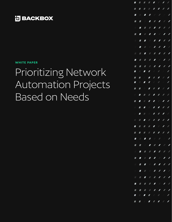### **H**BACKBOX

#### **WHITE PAPER**

# Prioritizing Network Automation Projects Based on Needs

|                       |                |                | <b>TTTTTTT</b>                                                                                                                                                                                                                                                                                                                                                                                                                   |                          |
|-----------------------|----------------|----------------|----------------------------------------------------------------------------------------------------------------------------------------------------------------------------------------------------------------------------------------------------------------------------------------------------------------------------------------------------------------------------------------------------------------------------------|--------------------------|
|                       |                |                |                                                                                                                                                                                                                                                                                                                                                                                                                                  |                          |
|                       |                |                | ---- <i>-----</i>                                                                                                                                                                                                                                                                                                                                                                                                                |                          |
|                       |                |                |                                                                                                                                                                                                                                                                                                                                                                                                                                  |                          |
|                       |                |                |                                                                                                                                                                                                                                                                                                                                                                                                                                  |                          |
|                       |                |                | <b>TITII</b>                                                                                                                                                                                                                                                                                                                                                                                                                     |                          |
|                       |                |                | <b>THEFFFF</b>                                                                                                                                                                                                                                                                                                                                                                                                                   |                          |
| <b>A</b>              |                |                |                                                                                                                                                                                                                                                                                                                                                                                                                                  |                          |
| $\blacksquare$        |                |                |                                                                                                                                                                                                                                                                                                                                                                                                                                  |                          |
|                       |                |                | <b>THEFTIII</b>                                                                                                                                                                                                                                                                                                                                                                                                                  |                          |
|                       |                |                | $\begin{array}{c ccccccccc} \textbf{M} & \textbf{M} & \textbf{M} & \textbf{M} & \textbf{M} & \textbf{M} & \textbf{M} & \textbf{M} & \textbf{M} & \textbf{M} & \textbf{M} & \textbf{M} & \textbf{M} & \textbf{M} & \textbf{M} & \textbf{M} & \textbf{M} & \textbf{M} & \textbf{M} & \textbf{M} & \textbf{M} & \textbf{M} & \textbf{M} & \textbf{M} & \textbf{M} & \textbf{M} & \textbf{M} & \textbf{M} & \textbf{M} & \textbf{M}$ |                          |
|                       | $\blacksquare$ |                |                                                                                                                                                                                                                                                                                                                                                                                                                                  |                          |
|                       |                |                |                                                                                                                                                                                                                                                                                                                                                                                                                                  |                          |
|                       |                |                | <b>TTTTTTT</b>                                                                                                                                                                                                                                                                                                                                                                                                                   |                          |
|                       |                |                |                                                                                                                                                                                                                                                                                                                                                                                                                                  |                          |
|                       |                |                | ---- <i>-----</i>                                                                                                                                                                                                                                                                                                                                                                                                                |                          |
|                       |                |                |                                                                                                                                                                                                                                                                                                                                                                                                                                  |                          |
|                       |                |                |                                                                                                                                                                                                                                                                                                                                                                                                                                  |                          |
| H.                    |                |                |                                                                                                                                                                                                                                                                                                                                                                                                                                  |                          |
|                       |                |                | - <i>- - - - -</i> -                                                                                                                                                                                                                                                                                                                                                                                                             |                          |
|                       |                |                | $\begin{array}{c c c c c c} \hline \textbf{I} & \textbf{I} & \textbf{I} & \textbf{I} & \textbf{I} \\\hline \end{array}$                                                                                                                                                                                                                                                                                                          | $\sqrt{2}$               |
|                       |                |                | <b>TTTTTTT</b>                                                                                                                                                                                                                                                                                                                                                                                                                   |                          |
|                       |                |                | -- <i>-------</i>                                                                                                                                                                                                                                                                                                                                                                                                                |                          |
|                       |                |                | 8 8 8 8 9 8 9 8 9 8 9                                                                                                                                                                                                                                                                                                                                                                                                            |                          |
|                       |                |                |                                                                                                                                                                                                                                                                                                                                                                                                                                  | $\overline{\phantom{a}}$ |
|                       |                |                | --- <i>------</i>                                                                                                                                                                                                                                                                                                                                                                                                                |                          |
|                       |                |                | 8 <b>8 8 8 8 8 7 8</b>                                                                                                                                                                                                                                                                                                                                                                                                           |                          |
| $\mathbb{Z}^{\times}$ | $\blacksquare$ |                | <b>FFFFFF</b>                                                                                                                                                                                                                                                                                                                                                                                                                    |                          |
|                       |                | $\blacksquare$ | $\mathbb{Z}^{\times}$                                                                                                                                                                                                                                                                                                                                                                                                            |                          |
|                       |                |                |                                                                                                                                                                                                                                                                                                                                                                                                                                  |                          |
|                       |                |                | $\blacksquare$                                                                                                                                                                                                                                                                                                                                                                                                                   |                          |
|                       |                |                | <b>TTTTT/</b>                                                                                                                                                                                                                                                                                                                                                                                                                    |                          |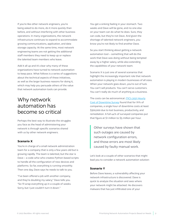If you're like other network engineers, you're being asked to do more, do it more quickly than before, and without interfering with other business operations. In many organizations, the network infrastructure continues to expand to accommodate growing communications, application, and data storage capacity. At the same time, most network engineering teams are not getting the additional staff members they need to keep up or replace the talented team members who leave.

Add it all up and it's clear why many of these organizations have turned to network automation to keep pace. What follows is a series of suggestions about the technical aspects of these initiatives, as well as the larger business reasons for doing it, which may help you persuade others of the value that network automation tools can provide.

### Why network automation has become so critical

Perhaps the best way to illustrate the struggles you face as the head of administering your network is through specific scenarios shared with us by other network engineers.

#### **Scenario X**

You're in charge of a small network administration team for a company that is only a few years old but is growing rapidly. The team is talented, but the star is Dave – a code whiz who creates Python-based scripts to handle all the configuration of new devices and platforms. So far, everything is running smoothly. Then one day, Dave says he needs to talk to you.

"I've been offered a job with another company, and they're doubling my salary," Dave tells you. "So I'll wrap everything up in a couple of weeks. Sorry, but I just couldn't turn it down."

You get a sinking feeling in your stomach. Two weeks and Dave will be gone, and no one else on your team can do what he does. Sure, they can code, but they're not Dave. And given the shortage of talented network engineers, you know you're not likely to find another Dave.

So you start thinking about getting a network automation tool – something that will do the work that Dave was doing without being tempted away by a higher salary, while also extending the capabilities of your network team.

Scenario X is just one of several scenarios that highlight the increasingly important role that network automation is playing in modern businesses of all sizes. When your network goes down, you're out of luck. You can't sell products. You can't serve customers. You can't really do much of anything as a business.

The costs can be astronomical. [ITIC's 2021 Hourly](https://www.ibm.com/downloads/cas/A856LOWK#:~:text=ITIC) [Cost of Downtime Survey](https://www.ibm.com/downloads/cas/A856LOWK#:~:text=ITIC) found that for 91% of companies, a single hour of downtime costs at least \$300,000 due to lost business, productivity, and remediation. A full 44% of surveyed companies put that figure at \$1 million to \$5 million per hour.

Other surveys have shown that such outages are caused by network configuration errors, and those errors are most likely caused by faulty manual work.

Let's look at a couple of other scenarios that might lead you to consider a network automation solution:

#### **Scenario Y**

Before Dave leaves, a vulnerability affecting your network infrastructure is discovered. Dave is quick to analyze the situation and sees where your network might be attacked. He discovers malware that has just infiltrated one of your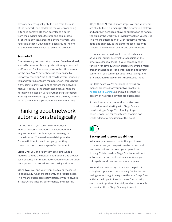network devices, quickly shuts it off from the rest of the network, and blocks the malware from doing extended damage. He then downloads a patch from the device's manufacturer and applies it to all of those devices, across the entire network. But you realize that if Dave hadn't been around, no one else would have been able to solve the problem.

#### **Scenario Z**

The network goes down at 4 p.m. and Dave has already started his new job. Nothing is functioning – no email, no Zoom, no Slack – so everyone in the office leaves for the day. "You'd better have us back online by tomorrow morning," the CEO growls at you. Frantically you and your junior team members work through the night, painstakingly working to restore the network manually because the automated backups that are normally collected by Dave's Python scripts stopped working a few weeks ago, and he was the only member of the team with deep software development skills.

### Thinking about network automation strategically

Let's be honest, you can't go from a largely manual process of network administration to a fully automated, totally integrated strategy in one fell swoop. You need to establish priorities. Those will differ for each company, but they break down into three stages of achievement.

Stage One: You and your team are doing what is required to keep the network operational and provide basic security. This means automation of configuration backups, restore procedures, and policy validation.

Stage Two: You and your team are taking measures to continually run more efficiently and reduce costs. This means automated optimization of your network infrastructure's health, performance, and security.

Stage Three: At this ultimate stage, you and your team are able to focus on managing the automation platform and approving changes, allowing automation to handle the bulk of the work you previously took on yourselves. This means automation of user-requested moves, adds, and changes, as the platform itself responds directly to ServiceNow tickets and user requests.

Of course, you would want to zip ahead as fast as you can, but it's essential to focus first on the practical, essential tasks. If your company can't function for days due to an outage or suffers a major breach that leaks personal information about your customers, you can forget about cost savings and efficiency. Bankruptcy makes those issues moot.

But take heart; you're not alone in relying on manual processes for your network activities. [According to Gartner,](https://blogs.gartner.com/andrew-lerner/2022/02/27/the-state-of-network-automation-in-2022/) as of 2022 less than 35 percent of network activities are automated.

So let's look at what network activities need to be addressed, starting with Stage One and then looking at Stage Two. Frankly, Stage Three is so far off for most teams that it is not worth additional discussion at this point.



#### **Backup and restore capabilities**

Whatever your network looks like, you'll want to be sure that you can perform the backup and restore functions that keep your operations flowing. This is clearly a Stage One issue. Without automated backup and restore capabilities, you risk significant downtime for your company.

Network automation systems ease the pain of doing backup and restore manually. While the costsavings aspect might categorize this as a Stage Two activity, the impact of lost business functionality is even more important financially and reputationally, so consider this a Stage One requirement.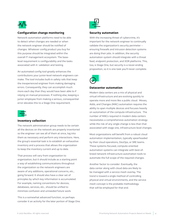

#### **Configuration change monitoring**

Network automation platforms need to be able to detect when changes are needed or when the network engineer should be notified of changes. Whatever config product you buy for this purpose should be integrated within the overall IT management ecosystem. The baselevel requirement is configurability and the tasks associated with it: validation and testing.

An automated config tool greatly enhances the contributions your junior-level network engineers can make. The tool includes built-in safety rails that keep the inexperienced engineer from making damaging errors. Consequently, they can accomplish much more each day than they would have been able to if relying on manual processes. If nothing else, keeping a junior employee from making a serious, consequential error elevates this to a Stage One requirement.



#### **Inventory collection**

The network administration group needs to be certain all the devices on the network are properly inventoried so the engineer can see all of them at once, log into them as necessary and perform any interactions. Here, the group's essential task is to establish an exhaustive inventory and a process that allows the organization to keep the inventory current and up to date.

That process will vary from organization to organization, but it should include as a starting point a way of establishing communications throughout the organization so the network engineers are aware of any additions, operational concerns, etc., going forward. It should also have a clear set of principles by which key information is accumulated. For example, naming conventions for devices, databases, services, etc., should be unified to minimize confusion and unneeded future work.

This is a somewhat advanced function, so perhaps consider it an activity for the later portion of Stage One.



#### **Security automation**

With the increasing threat of cybercrime, it's important for the network engineer to continually validate the organization's security perimeter – ensuring firewalls and intrusion detection systems are doing their jobs. In addition, the security automation system should integrate with a threat feed, endpoint protection, and XDR platforms. This, too, is Stage One, but security is a never-ending proposition, so it is one task you'll never complete.



#### **Datacenter automation**

Modern data centers are a mix of physical and virtual infrastructure and are evolving quickly to operate more and more like a public cloud. Moves, Adds, and Changes (MAC) automation requires the ability to span multiple devices and focuses heavily on automation of the compute infrastructure. The number of MACs required in modern data centers necessitates a comprehensive automation strategy while the risk of any single change is less than that associated with stage one, infrastructure level changes.

Most organizations will benefit from a robust cloud automation implementation, typically spearheaded by their cloud operations, DevOps, or SRE teams. These systems-focused, compute-oriented automation systems can integrate with best-ofbreed network infrastructure automation tools to automate the full scope of the required changes.

Another factor to consider: Eventually, the data center along with cloud data are likely to be managed with a service mesh overlay. The trend is toward a single method of controlling physical and virtual environments, and the service mesh concept is the probable methodology that will be employed for that end.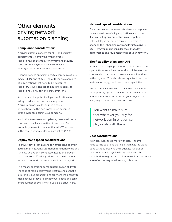### Other elements driving network automation planning

#### **Compliance considerations**

A driving external concern for all IT and security departments is complying with relevant regulations. For example, for privacy and security concerns, the engineer may wish to have privileged access management capabilities.

Financial service organizations, telecommunications, media, MSPs, and MSSPs – all of these are examples of organizations that need to be mindful of regulatory issues. The list of industries subject to regulations is only going to grow over time.

Keep in mind the potential legal ramifications for failing to adhere to compliance requirements. A privacy breach could result in a costly lawsuit because the non-compliance becomes strong evidence against your company.

In addition to external compliance, there are internal company compliance matters to consider. For example, you want to ensure that all NTP servers in the configuration of devices are set to 10.0.0.1.

#### **Deployment speed considerations**

Relatively few organizations can afford long delays in getting their network automation functionality up and running. Delays only complicate issues and prevent the team from effectively addressing the situations for which network automation tools are designed.

This means sacrificing some customization ability for the sake of rapid deployment. That's a choice that a lot of mid-sized organizations are more than happy to make because they are already overloaded and can't afford further delays. Time-to-value is a driver here.

#### **Network speed considerations**

For some businesses, near-instantaneous response times in customer-facing applications are critical. If you're selling an item online in a competitive field, a delay in execution can cause buyers to abandon their shopping carts and log into a rival's site. Here, you might consider tools that allow performance and fault monitoring of your network.

#### **The flexibility of an open API**

Rather than being dependent on a single vendor, an open API system allows network administrators to choose which vendors to use for various functions in their system. This also allows organizations to add features as they go and need more capabilities.

And it's simply unrealistic to think that one vendor or proprietary system can address all the needs of your IT infrastructure. Others in your organization are going to have their preferred tools.

You want to make sure that whatever you buy for network administration can play nicely with them.

#### **Cost considerations**

With pressures to do more with less, IT teams need to find solutions that help them get the work done without breaking their budgets. A solution that does what it says it will do, and allows the organization to grow and add more tools as necessary, is an effective way of addressing this issue.